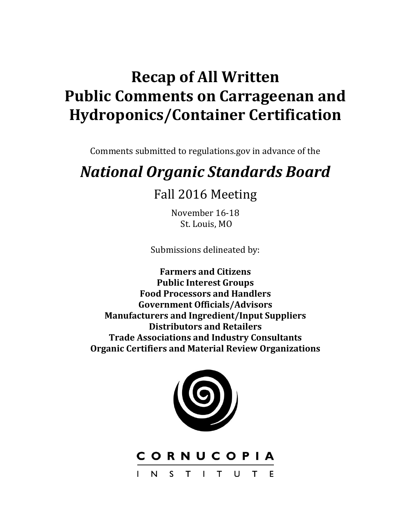## **Recap of All Written Public Comments on Carrageenan and Hydroponics/Container Certification**

Comments submitted to regulations.gov in advance of the

# *National Organic Standards Board*

### Fall 2016 Meeting

November 16-18 St. Louis, MO

Submissions delineated by:

**Farmers and Citizens Public Interest Groups Food Processors and Handlers Government Officials/Advisors Manufacturers and Ingredient/Input Suppliers Distributors and Retailers Trade Associations and Industry Consultants Organic Certifiers and Material Review Organizations**



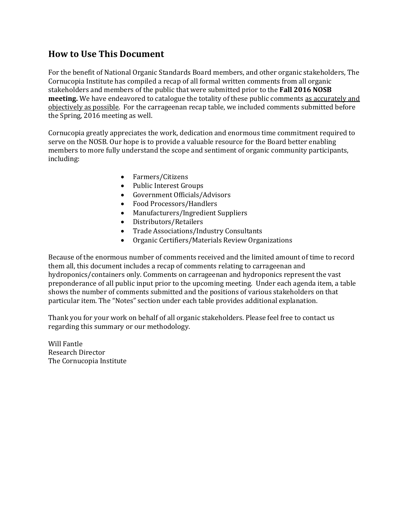### **How to Use This Document**

For the benefit of National Organic Standards Board members, and other organic stakeholders, The Cornucopia Institute has compiled a recap of all formal written comments from all organic stakeholders and members of the public that were submitted prior to the **Fall 2016 NOSB meeting.** We have endeavored to catalogue the totality of these public comments as accurately and objectively as possible. For the carrageenan recap table, we included comments submitted before the Spring, 2016 meeting as well.

Cornucopia greatly appreciates the work, dedication and enormous time commitment required to serve on the NOSB. Our hope is to provide a valuable resource for the Board better enabling members to more fully understand the scope and sentiment of organic community participants, including:

- Farmers/Citizens
- Public Interest Groups
- Government Officials/Advisors
- Food Processors/Handlers
- Manufacturers/Ingredient Suppliers
- Distributors/Retailers
- Trade Associations/Industry Consultants
- Organic Certifiers/Materials Review Organizations

Because of the enormous number of comments received and the limited amount of time to record them all, this document includes a recap of comments relating to carrageenan and hydroponics/containers only. Comments on carrageenan and hydroponics represent the vast preponderance of all public input prior to the upcoming meeting. Under each agenda item, a table shows the number of comments submitted and the positions of various stakeholders on that particular item. The "Notes" section under each table provides additional explanation.

Thank you for your work on behalf of all organic stakeholders. Please feel free to contact us regarding this summary or our methodology.

Will Fantle Research Director The Cornucopia Institute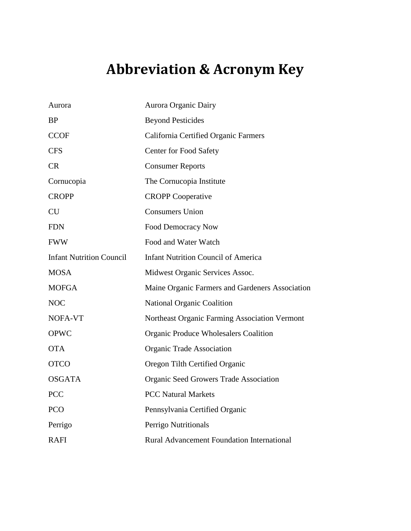## **Abbreviation & Acronym Key**

| Aurora                          | Aurora Organic Dairy                              |  |
|---------------------------------|---------------------------------------------------|--|
| <b>BP</b>                       | <b>Beyond Pesticides</b>                          |  |
| <b>CCOF</b>                     | California Certified Organic Farmers              |  |
| <b>CFS</b>                      | <b>Center for Food Safety</b>                     |  |
| <b>CR</b>                       | <b>Consumer Reports</b>                           |  |
| Cornucopia                      | The Cornucopia Institute                          |  |
| <b>CROPP</b>                    | <b>CROPP</b> Cooperative                          |  |
| <b>CU</b>                       | <b>Consumers Union</b>                            |  |
| <b>FDN</b>                      | <b>Food Democracy Now</b>                         |  |
| <b>FWW</b>                      | Food and Water Watch                              |  |
| <b>Infant Nutrition Council</b> | <b>Infant Nutrition Council of America</b>        |  |
| <b>MOSA</b>                     | Midwest Organic Services Assoc.                   |  |
| <b>MOFGA</b>                    | Maine Organic Farmers and Gardeners Association   |  |
| <b>NOC</b>                      | <b>National Organic Coalition</b>                 |  |
| NOFA-VT                         | Northeast Organic Farming Association Vermont     |  |
| <b>OPWC</b>                     | <b>Organic Produce Wholesalers Coalition</b>      |  |
| <b>OTA</b>                      | Organic Trade Association                         |  |
| <b>OTCO</b>                     | Oregon Tilth Certified Organic                    |  |
| <b>OSGATA</b>                   | <b>Organic Seed Growers Trade Association</b>     |  |
| <b>PCC</b>                      | <b>PCC Natural Markets</b>                        |  |
| <b>PCO</b>                      | Pennsylvania Certified Organic                    |  |
| Perrigo                         | Perrigo Nutritionals                              |  |
| <b>RAFI</b>                     | <b>Rural Advancement Foundation International</b> |  |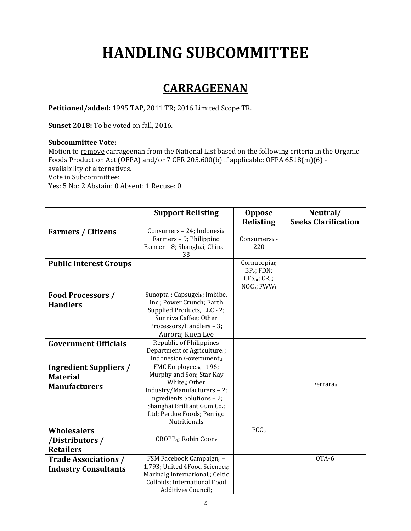# **HANDLING SUBCOMMITTEE**

### **CARRAGEENAN**

**Petitioned/added:** 1995 TAP, 2011 TR; 2016 Limited Scope TR.

**Sunset 2018:** To be voted on fall, 2016.

#### **Subcommittee Vote:**

Motion to remove carrageenan from the National List based on the following criteria in the Organic Foods Production Act (OFPA) and/or 7 CFR 205.600(b) if applicable: OFPA 6518(m)(6) availability of alternatives. Vote in Subcommittee: Yes: 5 No: 2 Abstain: 0 Absent: 1 Recuse: 0

|                               | <b>Support Relisting</b>                               | <b>Oppose</b>                       | Neutral/                   |
|-------------------------------|--------------------------------------------------------|-------------------------------------|----------------------------|
|                               |                                                        | <b>Relisting</b>                    | <b>Seeks Clarification</b> |
| <b>Farmers / Citizens</b>     | Consumers - 24; Indonesia                              |                                     |                            |
|                               | Farmers - 9; Philippino                                | Consumers <sub>k</sub> -            |                            |
|                               | Farmer - 8; Shanghai, China -                          | 220                                 |                            |
|                               | 33                                                     |                                     |                            |
| <b>Public Interest Groups</b> |                                                        | Cornucopia <sub>i</sub> ;           |                            |
|                               |                                                        | $BP_v$ ; FDN;<br>$CFS_m$ ; $CR_n$ ; |                            |
|                               |                                                        | NOC <sub>o</sub> ; FWW <sub>t</sub> |                            |
| <b>Food Processors /</b>      | Sunopta <sub>a</sub> ; Capsugel <sub>b</sub> ; Imbibe, |                                     |                            |
| <b>Handlers</b>               | Inc.; Power Crunch; Earth                              |                                     |                            |
|                               | Supplied Products, LLC - 2;                            |                                     |                            |
|                               | Sunniva Caffee; Other                                  |                                     |                            |
|                               | Processors/Handlers - 3;                               |                                     |                            |
|                               | Aurora; Kuen Lee                                       |                                     |                            |
| <b>Government Officials</b>   | Republic of Philippines                                |                                     |                            |
|                               | Department of Agriculture <sub>c</sub> ;               |                                     |                            |
|                               | Indonesian Governmentd                                 |                                     |                            |
| <b>Ingredient Suppliers /</b> | FMC Employees <sub>e</sub> -196;                       |                                     |                            |
| <b>Material</b>               | Murphy and Son; Star Kay                               |                                     |                            |
| <b>Manufacturers</b>          | White <sub>i</sub> ; Other                             |                                     | Ferrarau                   |
|                               | Industry/Manufacturers-2;                              |                                     |                            |
|                               | Ingredients Solutions - 2;                             |                                     |                            |
|                               | Shanghai Brilliant Gum Co.;                            |                                     |                            |
|                               | Ltd; Perdue Foods; Perrigo<br>Nutritionals             |                                     |                            |
| <b>Wholesalers</b>            |                                                        | PCC <sub>p</sub>                    |                            |
|                               | $CROPP_q$ ; Robin Coon <sub>r</sub>                    |                                     |                            |
| /Distributors /               |                                                        |                                     |                            |
| <b>Retailers</b>              |                                                        |                                     |                            |
| <b>Trade Associations /</b>   | FSM Facebook Campaigng -                               |                                     | OTA-6                      |
| <b>Industry Consultants</b>   | 1,793; United 4Food Scienceh;                          |                                     |                            |
|                               | Marinalg International <sub>i</sub> ; Celtic           |                                     |                            |
|                               | Colloids; International Food                           |                                     |                            |
|                               | Additives Council;                                     |                                     |                            |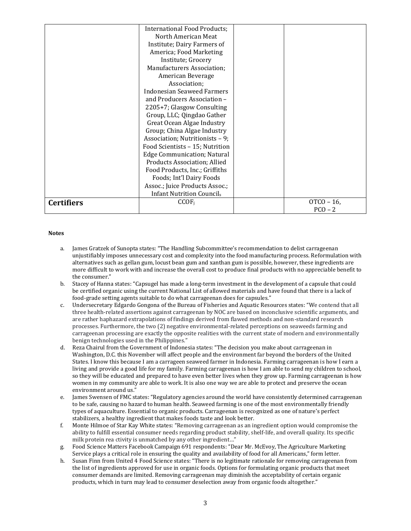|                   | <b>International Food Products;</b> |             |
|-------------------|-------------------------------------|-------------|
|                   | North American Meat                 |             |
|                   | Institute; Dairy Farmers of         |             |
|                   | America; Food Marketing             |             |
|                   | Institute; Grocery                  |             |
|                   | <b>Manufacturers Association;</b>   |             |
|                   | American Beverage                   |             |
|                   | Association;                        |             |
|                   | <b>Indonesian Seaweed Farmers</b>   |             |
|                   | and Producers Association -         |             |
|                   | 2205+7; Glasgow Consulting          |             |
|                   | Group, LLC; Qingdao Gather          |             |
|                   | Great Ocean Algae Industry          |             |
|                   | Group; China Algae Industry         |             |
|                   | Association; Nutritionists - 9;     |             |
|                   | Food Scientists - 15; Nutrition     |             |
|                   | <b>Edge Communication; Natural</b>  |             |
|                   | Products Association; Allied        |             |
|                   | Food Products, Inc.; Griffiths      |             |
|                   | Foods; Int'l Dairy Foods            |             |
|                   | Assoc.; Juice Products Assoc.;      |             |
|                   | <b>Infant Nutrition Councils</b>    |             |
| <b>Certifiers</b> | CCOF <sub>i</sub>                   | $OTCO - 16$ |
|                   |                                     | $PCO - 2$   |

#### **Notes**

- a. James Gratzek of Sunopta states: "The Handling Subcommittee's recommendation to delist carrageenan unjustifiably imposes unnecessary cost and complexity into the food manufacturing process. Reformulation with alternatives such as gellan gum, locust bean gum and xanthan gum is possible, however, these ingredients are more difficult to work with and increase the overall cost to produce final products with no appreciable benefit to the consumer."
- b. Stacey of Hanna states: "Capsugel has made a long-term investment in the development of a capsule that could be certified organic using the current National List of allowed materials and have found that there is a lack of food-grade setting agents suitable to do what carrageenan does for capsules."
- c. Undersecretary Edgardo Gongona of the Bureau of Fisheries and Aquatic Resources states: "We contend that all three health-related assertions against carrageenan by NOC are based on inconclusive scientific arguments, and are rather haphazard extrapolations of findings derived from flawed methods and non-standard research processes. Furthermore, the two (2) negative environmental-related perceptions on seaweeds farming and carrageenan processing are exactly the opposite realities with the current state of modern and environmentally benign technologies used in the Philippines."
- d. Reza Chairul from the Government of Indonesia states: "The decision you make about carrageenan in Washington, D.C. this November will affect people and the environment far beyond the borders of the United States. I know this because I am a carrageen seaweed farmer in Indonesia. Farming carrageenan is how I earn a living and provide a good life for my family. Farming carrageenan is how I am able to send my children to school, so they will be educated and prepared to have even better lives when they grow up. Farming carrageenan is how women in my community are able to work. It is also one way we are able to protect and preserve the ocean environment around us."
- e. James Swensen of FMC states: "Regulatory agencies around the world have consistently determined carrageenan to be safe, causing no hazard to human health. Seaweed farming is one of the most environmentally friendly types of aquaculture. Essential to organic products. Carrageenan is recognized as one of nature's perfect stabilizers, a healthy ingredient that makes foods taste and look better.
- f. Monte Hilmoe of Star Kay White states: "Removing carrageenan as an ingredient option would compromise the ability to fulfill essential consumer needs regarding product stability, shelf-life, and overall quality. Its specific milk protein rea ctivity is unmatched by any other ingredient…"
- g. Food Science Matters Facebook Campaign 691 respondents: "Dear Mr. McEvoy, The Agriculture Marketing Service plays a critical role in ensuring the quality and availability of food for all Americans," form letter.
- h. Susan Finn from United 4 Food Science states: "There is no legitimate rationale for removing carrageenan from the list of ingredients approved for use in organic foods. Options for formulating organic products that meet consumer demands are limited. Removing carrageenan may diminish the acceptability of certain organic products, which in turn may lead to consumer deselection away from organic foods altogether."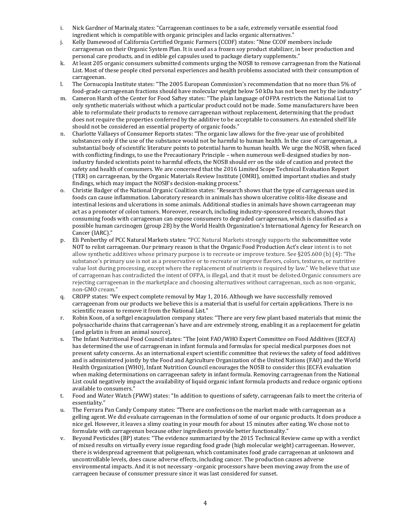- i. Nick Gardner of Marinalg states: "Carrageenan continues to be a safe, extremely versatile essential food ingredient which is compatible with organic principles and lacks organic alternatives."
- j. Kelly Damewood of California Certified Organic Farmers (CCOF) states: "Nine CCOF members include carrageenan on their Organic System Plan. It is used as a frozen soy product stabilizer, in beer production and personal care products, and in edible gel capsules used to package dietary supplements."
- k. At least 205 organic consumers submitted comments urging the NOSB to remove carrageenan from the National List. Most of these people cited personal experiences and health problems associated with their consumption of carrageenan.
- l. The Cornucopia Institute states: "The 2005 European Commission's recommendation that no more than 5% of food-grade carrageenan fractions should have molecular weight below 50 kDa has not been met by the industry"
- m. Cameron Harsh of the Center for Food Saftey states: "The plain language of OFPA restricts the National List to only synthetic materials without which a particular product could not be made. Some manufacturers have been able to reformulate their products to remove carrageenan without replacement, determining that the product does not require the properties conferred by the additive to be acceptable to consumers. An extended shelf life should not be considered an essential property of organic foods."
- n. Charlotte Vallaeys of Consumer Reports states: "The organic law allows for the five-year use of prohibited substances only if the use of the substance would not be harmful to human health. In the case of carrageenan, a substantial body of scientific literature points to potential harm to human health. We urge the NOSB, when faced with conflicting findings, to use the Precautionary Principle – when numerous well-designed studies by nonindustry funded scientists point to harmful effects, the NOSB should err on the side of caution and protect the safety and health of consumers. We are concerned that the 2016 Limited Scope Technical Evaluation Report (TER) on carrageenan, by the Organic Materials Review Institute (OMRI), omitted important studies and study findings, which may impact the NOSB's decision-making process."
- o. Christie Badger of the National Organic Coalition states: "Research shows that the type of carrageenan used in foods can cause inflammation. Laboratory research in animals has shown ulcerative colitis-like disease and intestinal lesions and ulcerations in some animals. Additional studies in animals have shown carrageenan may act as a promoter of colon tumors. Moreover, research, including industry-sponsored research, shows that consuming foods with carrageenan can expose consumers to degraded carrageenan, which is classified as a possible human carcinogen (group 2B) by the World Health Organization's International Agency for Research on Cancer (IARC)."
- p. Eli Penberthy of PCC Natural Markets states: "PCC Natural Markets strongly supports the subcommittee vote NOT to relist carrageenan. Our primary reason is that the Organic Food Production Act's clear intent is to not allow synthetic additives whose primary purpose is to recreate or improve texture. See §205.600 (b) (4): "The substance's primary use is not as a preservative or to recreate or improve flavors, colors, textures, or nutritive value lost during processing, except where the replacement of nutrients is required by law." We believe that use of carrageenan has contradicted the intent of OFPA, is illegal, and that it must be delisted.Organic consumers are rejecting carrageenan in the marketplace and choosing alternatives without carrageenan, such as non-organic, non-GMO cream."
- q. CROPP states: "We expect complete removal by May 1, 2016. Although we have successfully removed carrageenan from our products we believe this is a material that is useful for certain applications. There is no scientific reason to remove it from the National List."
- r. Robin Koon, of a softgel encapsulation company states: "There are very few plant based materials that mimic the polysaccharide chains that carrageenan's have and are extremely strong, enabling it as a replacement for gelatin (and gelatin is from an animal source).
- s. The Infant Nutritional Food Council states: "The Joint FAO/WHO Expert Committee on Food Additives (JECFA) has determined the use of carrageenan in infant formula and formulas for special medical purposes does not present safety concerns. As an international expert scientific committee that reviews the safety of food additives and is administered jointly by the Food and Agriculture Organization of the United Nations (FAO) and the World Health Organization (WHO), Infant Nutrition Council encourages the NOSB to consider this JECFA evaluation when making determinations on carrageenan safety in infant formula. Removing carrageenan from the National List could negatively impact the availability of liquid organic infant formula products and reduce organic options available to consumers."
- t. Food and Water Watch (FWW) states: "In addition to questions of safety, carrageenan fails to meet the criteria of essentiality."
- u. The Ferrara Pan Candy Company states: "There are confections on the market made with carrageenan as a gelling agent. We did evaluate carrageenan in the formulation of some of our organic products. It does produce a nice gel. However, it leaves a slimy coating in your mouth for about 15 minutes after eating. We chose not to formulate with carrageenan because other ingredients provide better functionality."
- v. Beyond Pesticides (BP) states: "The evidence summarized by the 2015 Technical Review came up with a verdict of mixed results on virtually every issue regarding food grade (high molecular weight) carrageenan. However, there is widespread agreement that poligeenan, which contaminates food grade carrageenan at unknown and uncontrollable levels, does cause adverse effects, including cancer. The production causes adverse environmental impacts. And it is not necessary –organic processors have been moving away from the use of carrageen because of consumer pressure since it was last considered for sunset.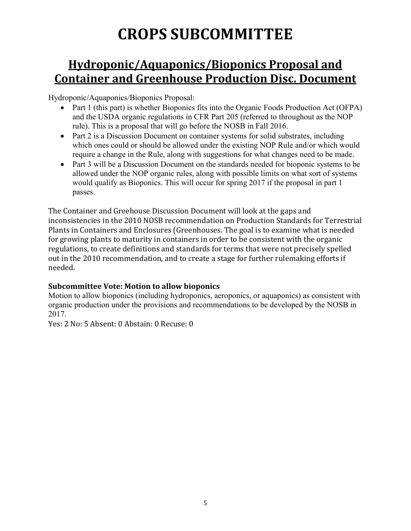# **CROPS SUBCOMMITTEE**

### **Hydroponic/Aquaponics/Bioponics Proposal and Container and Greenhouse Production Disc. Document**

Hydroponic/Aquaponics/Bioponics Proposal:

- Part 1 (this part) is whether Bioponics fits into the Organic Foods Production Act (OFPA) and the USDA organic regulations in CFR Part 205 (referred to throughout as the NOP rule). This is a proposal that will go before the NOSB in Fall 2016.
- Part 2 is a Discussion Document on container systems for solid substrates, including which ones could or should be allowed under the existing NOP Rule and/or which would require a change in the Rule, along with suggestions for what changes need to be made.
- Part 3 will be a Discussion Document on the standards needed for bioponic systems to be allowed under the NOP organic rules, along with possible limits on what sort of systems would qualify as Bioponics. This will occur for spring 2017 if the proposal in part 1 passes.

The Container and Greehouse Discussion Document will look at the gaps and inconsistencies in the 2010 NOSB recommendation on Production Standards for Terrestrial Plants in Containers and Enclosures (Greenhouses. The goal is to examine what is needed for growing plants to maturity in containers in order to be consistent with the organic regulations, to create definitions and standards for terms that were not precisely spelled out in the 2010 recommendation, and to create a stage for further rulemaking efforts if needed.

### **Subcommittee Vote: Motion to allow bioponics**

Motion to allow bioponics (including hydroponics, aeroponics, or aquaponics) as consistent with organic production under the provisions and recommendations to be developed by the NOSB in 2017.

Yes: 2 No: 5 Absent: 0 Abstain: 0 Recuse: 0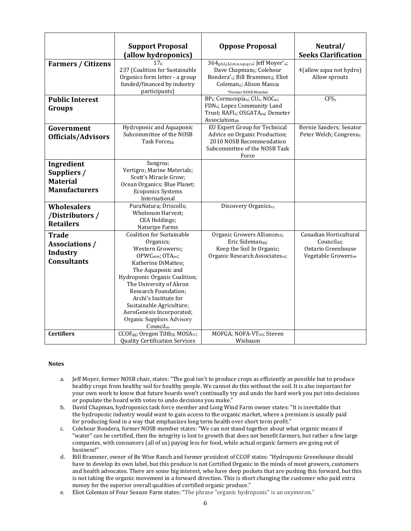|                           | <b>Support Proposal</b>                                                | <b>Oppose Proposal</b>                                                           | Neutral/                             |
|---------------------------|------------------------------------------------------------------------|----------------------------------------------------------------------------------|--------------------------------------|
|                           | (allow hydroponics)                                                    |                                                                                  | <b>Seeks Clarification</b>           |
| <b>Farmers / Citizens</b> | 17 <sub>ii</sub>                                                       | 364 <sub>g,h,I,j,k,l,m,n,o,p,q,r,s</sub> ; Jeff Moyer <sup>*</sup> a;            |                                      |
|                           | 237 (Coalition for Sustainable                                         | Dave Chapman <sub>b</sub> ; Colehour                                             | 4(allow aqua not hydro)              |
|                           | Organics form letter - a group                                         | Bondera*c; Bill Brammerd; Eliot                                                  | Allow sprouts                        |
|                           | funded/financed by industry                                            | Coleman <sub>e</sub> ; Alison Massaf                                             |                                      |
|                           | participants)                                                          | *Former NOSB Member                                                              |                                      |
| <b>Public Interest</b>    |                                                                        | BP <sub>t</sub> ; Cornucopia <sub>u</sub> ; CU <sub>v</sub> , NOC <sub>w</sub> ; | CFS <sub>y</sub>                     |
| Groups                    |                                                                        | FDN <sub>x</sub> ; Lopez Community Land                                          |                                      |
|                           |                                                                        | Trust; RAFI <sub>z</sub> ; OSGATA <sub>aa</sub> ; Demeter                        |                                      |
|                           |                                                                        | Associationbb<br><b>EU Expert Group for Technical</b>                            | Bernie Sanders; Senator              |
| Government                | Hydroponic and Aquaponic<br>Subcommittee of the NOSB                   | Advice on Organic Production;                                                    | Peter Welch; Congresstt              |
| <b>Officials/Advisors</b> | Task Forcekk                                                           | 2010 NOSB Recommendation                                                         |                                      |
|                           |                                                                        | Subcommittee of the NOSB Task                                                    |                                      |
|                           |                                                                        | Force                                                                            |                                      |
| Ingredient                | Sungroff;                                                              |                                                                                  |                                      |
| Suppliers /               | Vertigro; Marine Materials;                                            |                                                                                  |                                      |
| <b>Material</b>           | Scott's Miracle Grow;                                                  |                                                                                  |                                      |
|                           | Ocean Organics; Blue Planet;                                           |                                                                                  |                                      |
| <b>Manufacturers</b>      | <b>Ecoponics Systems</b>                                               |                                                                                  |                                      |
|                           | International                                                          |                                                                                  |                                      |
| <b>Wholesalers</b>        | PuraNatura; Driscolls;                                                 | Discovery Organicscc                                                             |                                      |
| /Distributors /           | <b>Wholesum Harvest;</b>                                               |                                                                                  |                                      |
| <b>Retailers</b>          | <b>CEA Holdings;</b>                                                   |                                                                                  |                                      |
|                           | Naturipe Farms                                                         |                                                                                  |                                      |
| <b>Trade</b>              | <b>Coalition for Sustainable</b><br>Organics;                          | Organic Growers Alliancehh;<br>Eric Sideman <sub>qq</sub> ;                      | Canadian Horticultural<br>Councildd; |
| <b>Associations /</b>     | Western Growersii;                                                     | Keep the Soil In Organic;                                                        | Ontario Greenhouse                   |
| <b>Industry</b>           | OPWCmm; OTA00;                                                         | Organic Research Associatesss;                                                   | Vegetable Growersee                  |
| <b>Consultants</b>        | Katherine DiMatteo:                                                    |                                                                                  |                                      |
|                           | The Aquaponic and                                                      |                                                                                  |                                      |
|                           | Hydroponic Organic Coalition;                                          |                                                                                  |                                      |
|                           | The University of Akron                                                |                                                                                  |                                      |
|                           | Research Foundation;                                                   |                                                                                  |                                      |
|                           | Archi's Institute for                                                  |                                                                                  |                                      |
|                           | Sustainable Agriculture;                                               |                                                                                  |                                      |
|                           | AeroGenesis Incorporated;                                              |                                                                                  |                                      |
|                           | Organic Suppliers Advisory                                             |                                                                                  |                                      |
|                           | Council <sub>oo</sub>                                                  |                                                                                  |                                      |
| <b>Certifiers</b>         | CCOF <sub>gg</sub> ; Oregon Tilth <sub>ii</sub> ; MOSA <sub>rr</sub> ; | MOFGA; NOFA-VT <sub>nn</sub> ; Steven                                            |                                      |
|                           | <b>Quality Certification Services</b>                                  | Wisbaum                                                                          |                                      |

#### **Notes**

- a. Jeff Moyer, former NOSB chair, states: "The goal isn't to produce crops as efficiently as possible but to produce healthy crops from healthy soil for healthy people. We cannot do this without the soil. It is also important for your own work to know that future boards won't continually try and undo the hard work you put into decisions or populate the board with votes to undo decisions you make."
- b. David Chapman, hydroponics task force member and Long Wind Farm owner states: "It is inevitable that the hydroponic industry would want to gain access to the organic market, where a premium is usually paid for producing food in a way that emphasizes long term health over short term profit."
- c. Colehour Bondera, former NOSB member states: "We can not stand together about what organic means if "water" can be certified, then the integrity is lost to growth that does not benefit farmers, but rather a few large companies, with consumers (all of us) paying less for food, while actual organic farmers are going out of business!"
- d. Bill Brammer, owner of Be Wise Ranch and former president of CCOF states: "Hydroponic Greenhouse should have to develop its own label, but this produce is not Certified Organic in the minds of most growers, customers and health advocates. There are some big interest, who have deep pockets that are pushing this forward, but this is not taking the organic movement in a forward direction. This is short changing the customer who paid extra money for the superior overall qualities of certified organic produce."
- e. Eliot Coleman of Four Season Farm states: "The phrase "organic hydroponic" is an oxymoron."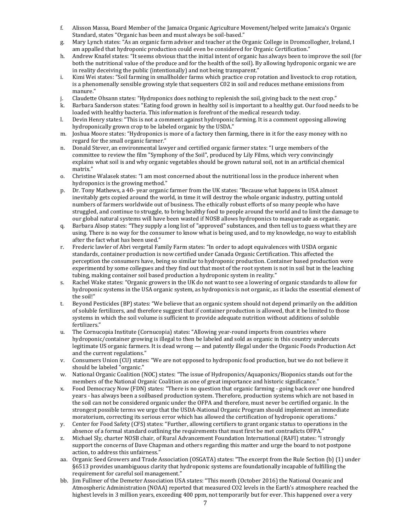- f. Alisson Massa, Board Member of the Jamaica Organic Agriculture Movement/helped write Jamaica's Organic Standard, states "Organic has been and must always be soil-based."
- g. Mary Lynch states: "As an organic farm adviser and teacher at the Organic College in Dromcollogher, Ireland, I am appalled that hydroponic production could even be considered for Organic Certification."
- h. Andrew Knafel states: "It seems obvious that the initial intent of organic has always been to improve the soil (for both the nutritional value of the produce and for the health of the soil). By allowing hydroponic organic we are in reality deceiving the public (intentionally) and not being transparent."
- i. Kimi Wei states: "Soil farming in smallholder farms which practice crop rotation and livestock to crop rotation, is a phenomenally sensible growing style that sequesters C02 in soil and reduces methane emissions from manure."
- j. Claudette Ohsann states: "Hydroponics does nothing to replenish the soil, giving back to the next crop."
- k. Barbara Sanderson states: "Eating food grown in healthy soil is important to a healthy gut. Our food needs to be loaded with healthy bacteria. This information is forefront of the medical research today.
- l. Devin Henry states: "This is not a comment against hydroponic farming. It is a comment opposing allowing hydroponically grown crop to be labeled organic by the USDA."
- m. Joshua Moore states: "Hydroponics is more of a factory then farming, there in it for the easy money with no regard for the small organic farmer."
- n. Donald Stever, an environmental lawyer and certified organic farmer states: "I urge members of the committee to review the film "Symphony of the Soil", produced by Lily Films, which very convincingly explains what soil is and why organic vegetables should be grown natural soil, not in an artificial chemical matrix."
- o. Christine Walasek states: "I am most concerned about the nutritional loss in the produce inherent when hydroponics is the growing method."
- p. Dr. Tony Mathews, a 40- year organic farmer from the UK states: "Because what happens in USA almost inevitably gets copied around the world, in time it will destroy the whole organic industry, putting untold numbers of farmers worldwide out of business. The ethically robust efforts of so many people who have struggled, and continue to struggle, to bring healthy food to people around the world and to limit the damage to our global natural systems will have been wasted if NOSB allows hydroponics to masquerade as organic.
- q. Barbara Alsop states: "They supply a long list of "approved" substances, and then tell us to guess what they are using. There is no way for the consumer to know what is being used, and to my knowledge, no way to establish after the fact what has been used."
- r. Frederic lawler of Abri vergetal Family Farm states: "In order to adopt equivalences with USDA organic standards, container production is now certified under Canada Organic Certification. This affected the perception the consumers have, being so similar to hydroponic production. Container based production were experimentd by some collegues and they find out that most of the root system is not in soil but in the leaching tubing, making container soil based production a hydroponic system in reality."
- s. Rachel Wake states: "Organic growers in the UK do not want to see a lowering of organic standards to allow for hydroponic systems in the USA organic system, as hydroponics is not organic, as it lacks the essential element of the soil!"
- t. Beyond Pesticides (BP) states: "We believe that an organic system should not depend primarily on the addition of soluble fertilizers, and therefore suggest that if container production is allowed, that it be limited to those systems in which the soil volume is sufficient to provide adequate nutrition without additions of soluble fertilizers."
- u. The Cornucopia Institute (Cornucopia) states: "Allowing year-round imports from countries where hydroponic/container growing is illegal to then be labeled and sold as organic in this country undercuts legitimate US organic farmers. It is dead wrong — and patently illegal under the Organic Foods Production Act and the current regulations."
- v. Consumers Union (CU) states: "We are not opposed to hydroponic food production, but we do not believe it should be labeled "organic."
- w. National Organic Coalition (NOC) states: "The issue of Hydroponics/Aquaponics/Bioponics stands out for the members of the National Organic Coalition as one of great importance and historic significance."
- x. Food Democracy Now (FDN) states: "There is no question that organic farming going back over one hundred years - has always been a soilbased production system. Therefore, production systems which are not based in the soil can not be considered organic under the OFPA and therefore, must never be certified organic. In the strongest possible terms we urge that the USDA-National Organic Program should implement an immediate moratorium, correcting its serious error which has allowed the certification of hydroponic operations."
- y. Center for Food Safety (CFS) states: "Further, allowing certifiers to grant organic status to operations in the absence of a formal standard outlining the requirements that must first be met contradicts OFPA."
- z. Michael Sly, charter NOSB chair, of Rural Advancement Foundation International (RAFI) states: "I strongly support the concerns of Dave Chapman and others regarding this matter and urge the board to not postpone action, to address this unfairness."
- aa. Organic Seed Growers and Trade Association (OSGATA) states: "The excerpt from the Rule Section (b) (1) under §6513 provides unambiguous clarity that hydroponic systems are foundationally incapable of fulfilling the requirement for careful soil management."
- bb. Jim Fullmer of the Demeter Association USA states: "This month (October 2016) the National Oceanic and Atmospheric Administration (NOAA) reported that measured CO2 levels in the Earth's atmosphere reached the highest levels in 3 million years, exceeding 400 ppm, not temporarily but for ever. This happened over a very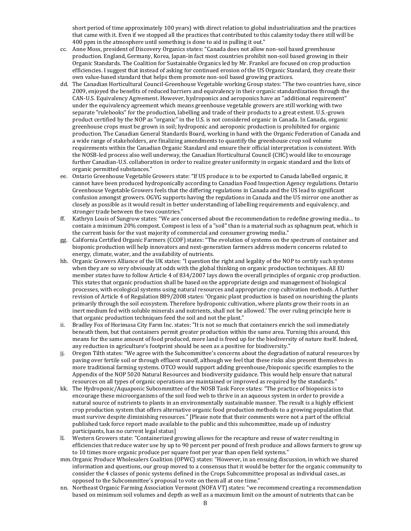short period of time approximately 100 years) with direct relation to global industrialization and the practices that came with it. Even if we stopped all the practices that contributed to this calamity today there still will be 400 ppm in the atmosphere until something is done to aid in pulling it out."

- cc. Anne Moss, president of Discovery Organics states: "Canada does not allow non-soil based greenhouse production. England, Germany, Korea, Japan-in fact most countries prohibit non-soil based growing in their Organic Standards. The Coalition for Sustainable Organics led by Mr. Frankel are focused on crop production efficiencies. I suggest that instead of asking for continued erosion of the US Organic Standard, they create their own value-based standard that helps them promote non-soil based growing practices.
- dd. The Canadian Horticultural Council-Greenhouse Vegetable working Group states: "The two countries have, since 2009, enjoyed the benefits of reduced barriers and equivalency in their organic standardization through the CAN-U.S. Equivalency Agreement. However, hydroponics and aeroponics have an "additional requirement" under the equivalency agreement which means greenhouse vegetable growers are still working with two separate "rulebooks" for the production, labelling and trade of their products to a great extent. U.S.-grown product certified by the NOP as "organic" in the U.S. is not considered organic in Canada. In Canada, organic greenhouse crops must be grown in soil; hydroponic and aeroponic production is prohibited for organic production. The Canadian General Standards Board, working in hand with the Organic Federation of Canada and a wide range of stakeholders, are finalizing amendments to quantify the greenhouse crop soil volume requirements within the Canadian Organic Standard and ensure their official interpretation is consistent. With the NOSB-led process also well underway, the Canadian Horticultural Council (CHC) would like to encourage further Canadian-U.S. collaboration in order to realize greater uniformity in organic standard and the lists of organic permitted substances."
- ee. Ontario Greenhouse Vegetable Growers state: "If US produce is to be exported to Canada labelled organic, it cannot have been produced hydroponically according to Canadian Food Inspection Agency regulations. Ontario Greenhouse Vegetable Growers feels that the differing regulations in Canada and the US lead to significant confusion amongst growers. OGVG supports having the regulations in Canada and the US mirror one another as closely as possible as it would result in better understanding of labelling requirements and equivalency, and stronger trade between the two countries."
- ff. Kathryn Louis of Sungrow states: "We are concerned about the recommendation to redefine growing media… to contain a minimum 20% compost. Compost is less of a "soil" than is a material such as sphagnum peat, which is the current basis for the vast majority of commercial and consumer growing media."
- gg. California Certified Organic Farmers (CCOF) states: "The evolution of systems on the spectrum of container and bioponic production will help innovators and next‐generation farmers address modern concerns related to energy, climate, water, and the availability of nutrients.
- hh. Organic Growers Alliance of the UK states: "I question the right and legality of the NOP to certify such systems when they are so very obviously at odds with the global thinking on organic production techniques. All EU member states have to follow Article 4 of 834/2007 lays down the overall principles of organic crop production. This states that organic production shall be based on the appropriate design and management of biological processes, with ecological systems using natural resources and appropriate crop cultivation methods. A further revision of Article 4 of Regulation 889/2008 states: 'Organic plant production is based on nourishing the plants primarily through the soil ecosystem. Therefore hydroponic cultivation, where plants grow their roots in an inert medium fed with soluble minerals and nutrients, shall not be allowed.' The over ruling principle here is that organic production techniques feed the soil and not the plant."
- ii. Bradley Fox of Horimasa City Farm Inc. states: "It is not so much that containers enrich the soil immediately beneath them, but that containers permit greater production within the same area. Turning this around, this means for the same amount of food produced, more land is freed up for the biodiversity of nature itself. Indeed, any reduction in agricultureʻs footprint should be seen as a positive for biodiversity."
- jj. Oregon Tilth states: "We agree with the Subcommittee's concerns about the degradation of natural resources by paving over fertile soil or through effluent runoff, although we feel that these risks also present themselves in more traditional farming systems. OTCO would support adding greenhouse/bioponic specific examples to the Appendix of the NOP 5020 Natural Resources and biodiversity guidance. This would help ensure that natural resources on all types of organic operations are maintained or improved as required by the standards."
- kk. The Hydroponic/Aquaponic Subcommittee of the NOSB Task Force states: "The practice of bioponics is to encourage these microorganisms of the soil food web to thrive in an aqueous system in order to provide a natural source of nutrients to plants in an environmentally sustainable manner. The result is a highly efficient crop production system that offers alternative organic food production methods to a growing population that must survive despite diminishing resources." [Please note that their comments were not a part of the official published task force report made available to the public and this subcommittee, made up of industry participants, has no current legal status]
- ll. Western Growers state: "Containerized growing allows for the recapture and reuse of water resulting in efficiencies that reduce water use by up to 90 percent per pound of fresh produce and allows farmers to grow up to 10 times more organic produce per square foot per year than open field systems."
- mm.Organic Produce Wholesalers Coalition (OPWC) states: "However, in an ensuing discussion, in which we shared information and questions, our group moved to a consensus that it would be better for the organic community to consider the 4 classes of ponic systems defined in the Crops Subcommittee proposal as individual cases, as opposed to the Subcommittee's proposal to vote on them all at one time."
- nn. Northeast Organic Farming Association Vermont (NOFA VT) states: "we recommend creating a recommendation based on minimum soil volumes and depth as well as a maximum limit on the amount of nutrients that can be